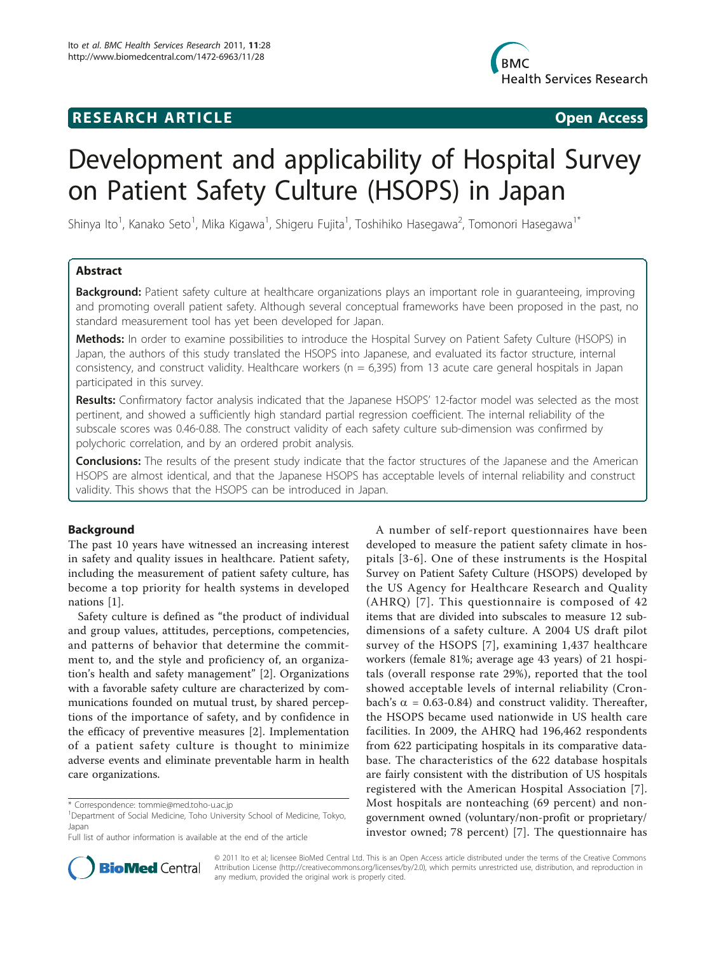# **RESEARCH ARTICLE Example 2018 Open Access**



# Development and applicability of Hospital Survey on Patient Safety Culture (HSOPS) in Japan

Shinya Ito<sup>1</sup>, Kanako Seto<sup>1</sup>, Mika Kigawa<sup>1</sup>, Shigeru Fujita<sup>1</sup>, Toshihiko Hasegawa<sup>2</sup>, Tomonori Hasegawa<sup>1\*</sup>

# Abstract

Background: Patient safety culture at healthcare organizations plays an important role in quaranteeing, improving and promoting overall patient safety. Although several conceptual frameworks have been proposed in the past, no standard measurement tool has yet been developed for Japan.

Methods: In order to examine possibilities to introduce the Hospital Survey on Patient Safety Culture (HSOPS) in Japan, the authors of this study translated the HSOPS into Japanese, and evaluated its factor structure, internal consistency, and construct validity. Healthcare workers ( $n = 6,395$ ) from 13 acute care general hospitals in Japan participated in this survey.

Results: Confirmatory factor analysis indicated that the Japanese HSOPS' 12-factor model was selected as the most pertinent, and showed a sufficiently high standard partial regression coefficient. The internal reliability of the subscale scores was 0.46-0.88. The construct validity of each safety culture sub-dimension was confirmed by polychoric correlation, and by an ordered probit analysis.

Conclusions: The results of the present study indicate that the factor structures of the Japanese and the American HSOPS are almost identical, and that the Japanese HSOPS has acceptable levels of internal reliability and construct validity. This shows that the HSOPS can be introduced in Japan.

# Background

The past 10 years have witnessed an increasing interest in safety and quality issues in healthcare. Patient safety, including the measurement of patient safety culture, has become a top priority for health systems in developed nations [[1\]](#page-6-0).

Safety culture is defined as "the product of individual and group values, attitudes, perceptions, competencies, and patterns of behavior that determine the commitment to, and the style and proficiency of, an organization's health and safety management" [\[2](#page-6-0)]. Organizations with a favorable safety culture are characterized by communications founded on mutual trust, by shared perceptions of the importance of safety, and by confidence in the efficacy of preventive measures [\[2](#page-6-0)]. Implementation of a patient safety culture is thought to minimize adverse events and eliminate preventable harm in health care organizations.

Full list of author information is available at the end of the article



**BioMed** Central

© 2011 Ito et al; licensee BioMed Central Ltd. This is an Open Access article distributed under the terms of the Creative Commons Attribution License [\(http://creativecommons.org/licenses/by/2.0](http://creativecommons.org/licenses/by/2.0)), which permits unrestricted use, distribution, and reproduction in any medium, provided the original work is properly cited.

<sup>\*</sup> Correspondence: [tommie@med.toho-u.ac.jp](mailto:tommie@med.toho-u.ac.jp)

<sup>&</sup>lt;sup>1</sup>Department of Social Medicine, Toho University School of Medicine, Tokyo, Japan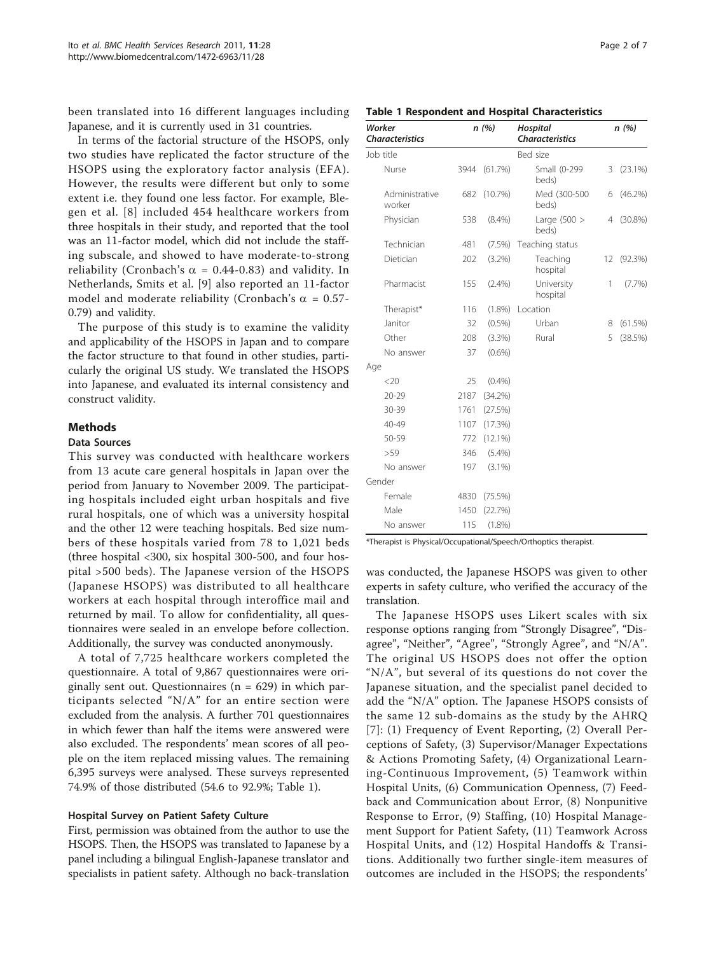been translated into 16 different languages including Japanese, and it is currently used in 31 countries.

In terms of the factorial structure of the HSOPS, only two studies have replicated the factor structure of the HSOPS using the exploratory factor analysis (EFA). However, the results were different but only to some extent i.e. they found one less factor. For example, Blegen et al. [[8](#page-6-0)] included 454 healthcare workers from three hospitals in their study, and reported that the tool was an 11-factor model, which did not include the staffing subscale, and showed to have moderate-to-strong reliability (Cronbach's  $\alpha = 0.44$ -0.83) and validity. In Netherlands, Smits et al. [[9](#page-6-0)] also reported an 11-factor model and moderate reliability (Cronbach's  $\alpha = 0.57$ -0.79) and validity.

The purpose of this study is to examine the validity and applicability of the HSOPS in Japan and to compare the factor structure to that found in other studies, particularly the original US study. We translated the HSOPS into Japanese, and evaluated its internal consistency and construct validity.

# Methods

# Data Sources

This survey was conducted with healthcare workers from 13 acute care general hospitals in Japan over the period from January to November 2009. The participating hospitals included eight urban hospitals and five rural hospitals, one of which was a university hospital and the other 12 were teaching hospitals. Bed size numbers of these hospitals varied from 78 to 1,021 beds (three hospital <300, six hospital 300-500, and four hospital >500 beds). The Japanese version of the HSOPS (Japanese HSOPS) was distributed to all healthcare workers at each hospital through interoffice mail and returned by mail. To allow for confidentiality, all questionnaires were sealed in an envelope before collection. Additionally, the survey was conducted anonymously.

A total of 7,725 healthcare workers completed the questionnaire. A total of 9,867 questionnaires were originally sent out. Questionnaires ( $n = 629$ ) in which participants selected "N/A" for an entire section were excluded from the analysis. A further 701 questionnaires in which fewer than half the items were answered were also excluded. The respondents' mean scores of all people on the item replaced missing values. The remaining 6,395 surveys were analysed. These surveys represented 74.9% of those distributed (54.6 to 92.9%; Table 1).

# Hospital Survey on Patient Safety Culture

First, permission was obtained from the author to use the HSOPS. Then, the HSOPS was translated to Japanese by a panel including a bilingual English-Japanese translator and specialists in patient safety. Although no back-translation

| Worker<br><b>Characteristics</b> |      | n(%)       | <b>Hospital</b><br><b>Characteristics</b> |    | n(%)       |
|----------------------------------|------|------------|-------------------------------------------|----|------------|
| Job title                        |      |            | Bed size                                  |    |            |
| Nurse                            | 3944 | (61.7%)    | Small (0-299<br>beds)                     | 3  | $(23.1\%)$ |
| Administrative<br>worker         | 682  | $(10.7\%)$ | Med (300-500<br>beds)                     | 6  | $(46.2\%)$ |
| Physician                        | 538  | $(8.4\%)$  | Large $(500 >$<br>beds)                   | 4  | $(30.8\%)$ |
| Technician                       | 481  | (7.5%)     | Teaching status                           |    |            |
| Dietician                        | 202  | $(3.2\%)$  | Teaching<br>hospital                      | 12 | (92.3%)    |
| Pharmacist                       | 155  | (2.4%)     | University<br>hospital                    | 1  | (7.7%)     |
| Therapist*                       | 116  | $(1.8\%)$  | Location                                  |    |            |
| Janitor                          | 32   | $(0.5\%)$  | Urban                                     | 8  | (61.5%)    |
| Other                            | 208  | (3.3%)     | Rural                                     | 5  | (38.5%)    |
| No answer                        | 37   | (0.6% )    |                                           |    |            |
| Age                              |      |            |                                           |    |            |
| <20                              | 25   | (0.4% )    |                                           |    |            |
| $20 - 29$                        | 2187 | $(34.2\%)$ |                                           |    |            |
| 30-39                            | 1761 | (27.5%)    |                                           |    |            |
| 40-49                            | 1107 | (17.3%)    |                                           |    |            |
| 50-59                            | 772  | $(12.1\%)$ |                                           |    |            |
| >59                              | 346  | (5.4%)     |                                           |    |            |
| No answer                        | 197  | $(3.1\%)$  |                                           |    |            |
| Gender                           |      |            |                                           |    |            |
| Female                           | 4830 | (75.5%)    |                                           |    |            |
| Male                             | 1450 | (22.7%)    |                                           |    |            |
| No answer                        | 115  | $(1.8\%)$  |                                           |    |            |

\*Therapist is Physical/Occupational/Speech/Orthoptics therapist.

was conducted, the Japanese HSOPS was given to other experts in safety culture, who verified the accuracy of the translation.

The Japanese HSOPS uses Likert scales with six response options ranging from "Strongly Disagree", "Disagree", "Neither", "Agree", "Strongly Agree", and "N/A". The original US HSOPS does not offer the option " $N/A$ ", but several of its questions do not cover the Japanese situation, and the specialist panel decided to add the "N/A" option. The Japanese HSOPS consists of the same 12 sub-domains as the study by the AHRQ [[7](#page-6-0)]: (1) Frequency of Event Reporting, (2) Overall Perceptions of Safety, (3) Supervisor/Manager Expectations & Actions Promoting Safety, (4) Organizational Learning-Continuous Improvement, (5) Teamwork within Hospital Units, (6) Communication Openness, (7) Feedback and Communication about Error, (8) Nonpunitive Response to Error, (9) Staffing, (10) Hospital Management Support for Patient Safety, (11) Teamwork Across Hospital Units, and (12) Hospital Handoffs & Transitions. Additionally two further single-item measures of outcomes are included in the HSOPS; the respondents'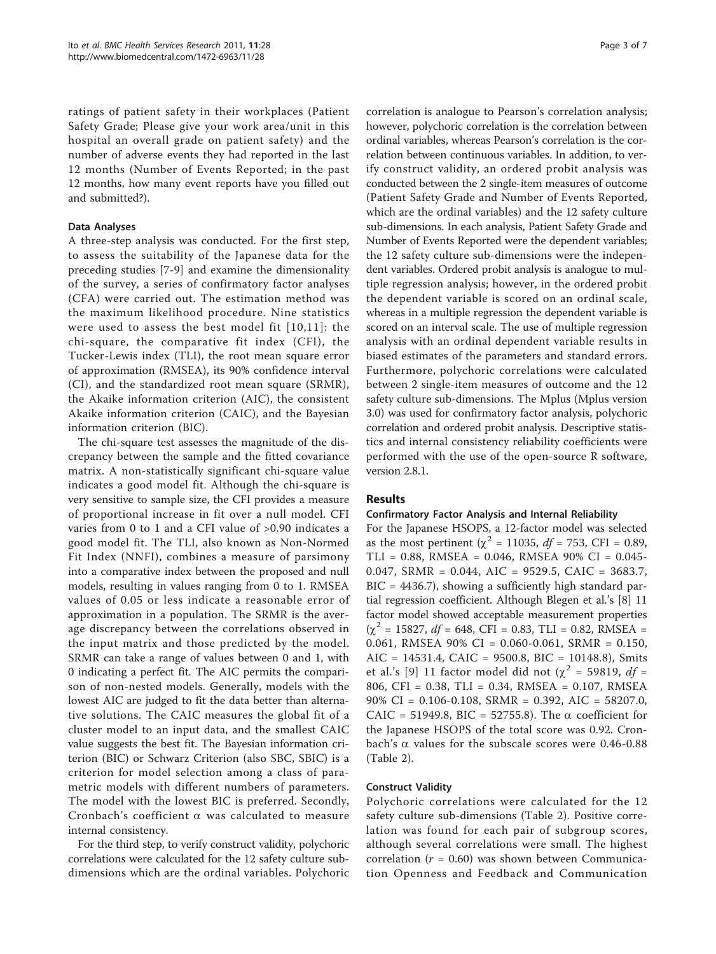ratings of patient safety in their workplaces (Patient Safety Grade; Please give your work area/unit in this hospital an overall grade on patient safety) and the number of adverse events they had reported in the last 12 months (Number of Events Reported; in the past 12 months, how many event reports have you filled out and submitted?).

# Data Analyses

A three-step analysis was conducted. For the first step, to assess the suitability of the Japanese data for the preceding studies [\[7](#page-6-0)-[9\]](#page-6-0) and examine the dimensionality of the survey, a series of confirmatory factor analyses (CFA) were carried out. The estimation method was the maximum likelihood procedure. Nine statistics were used to assess the best model fit [[10,11](#page-6-0)]: the chi-square, the comparative fit index (CFI), the Tucker-Lewis index (TLI), the root mean square error of approximation (RMSEA), its 90% confidence interval (CI), and the standardized root mean square (SRMR), the Akaike information criterion (AIC), the consistent Akaike information criterion (CAIC), and the Bayesian information criterion (BIC).

The chi-square test assesses the magnitude of the discrepancy between the sample and the fitted covariance matrix. A non-statistically significant chi-square value indicates a good model fit. Although the chi-square is very sensitive to sample size, the CFI provides a measure of proportional increase in fit over a null model. CFI varies from 0 to 1 and a CFI value of >0.90 indicates a good model fit. The TLI, also known as Non-Normed Fit Index (NNFI), combines a measure of parsimony into a comparative index between the proposed and null models, resulting in values ranging from 0 to 1. RMSEA values of 0.05 or less indicate a reasonable error of approximation in a population. The SRMR is the average discrepancy between the correlations observed in the input matrix and those predicted by the model. SRMR can take a range of values between 0 and 1, with 0 indicating a perfect fit. The AIC permits the comparison of non-nested models. Generally, models with the lowest AIC are judged to fit the data better than alternative solutions. The CAIC measures the global fit of a cluster model to an input data, and the smallest CAIC value suggests the best fit. The Bayesian information criterion (BIC) or Schwarz Criterion (also SBC, SBIC) is a criterion for model selection among a class of parametric models with different numbers of parameters. The model with the lowest BIC is preferred. Secondly, Cronbach's coefficient  $\alpha$  was calculated to measure internal consistency.

For the third step, to verify construct validity, polychoric correlations were calculated for the 12 safety culture subdimensions which are the ordinal variables. Polychoric

correlation is analogue to Pearson's correlation analysis; however, polychoric correlation is the correlation between ordinal variables, whereas Pearson's correlation is the correlation between continuous variables. In addition, to verify construct validity, an ordered probit analysis was conducted between the 2 single-item measures of outcome (Patient Safety Grade and Number of Events Reported, which are the ordinal variables) and the 12 safety culture sub-dimensions. In each analysis, Patient Safety Grade and Number of Events Reported were the dependent variables; the 12 safety culture sub-dimensions were the independent variables. Ordered probit analysis is analogue to multiple regression analysis; however, in the ordered probit the dependent variable is scored on an ordinal scale, whereas in a multiple regression the dependent variable is scored on an interval scale. The use of multiple regression analysis with an ordinal dependent variable results in biased estimates of the parameters and standard errors. Furthermore, polychoric correlations were calculated between 2 single-item measures of outcome and the 12 safety culture sub-dimensions. The Mplus (Mplus version 3.0) was used for confirmatory factor analysis, polychoric correlation and ordered probit analysis. Descriptive statistics and internal consistency reliability coefficients were performed with the use of the open-source R software, version 2.8.1.

# Results

# Confirmatory Factor Analysis and Internal Reliability

For the Japanese HSOPS, a 12-factor model was selected as the most pertinent ( $\chi^2$  = 11035, *df* = 753, CFI = 0.89, TLI = 0.88, RMSEA = 0.046, RMSEA 90% CI = 0.045- 0.047, SRMR = 0.044, AIC = 9529.5, CAIC = 3683.7, BIC = 4436.7), showing a sufficiently high standard partial regression coefficient. Although Blegen et al.'s [\[8](#page-6-0)] 11 factor model showed acceptable measurement properties  $(\chi^2 = 15827, df = 648, CFI = 0.83, TLI = 0.82, RMSEA =$ 0.061, RMSEA 90% CI = 0.060-0.061, SRMR = 0.150,  $AIC = 14531.4, CAIC = 9500.8, BIC = 10148.8$ , Smits et al.'s [[9](#page-6-0)] 11 factor model did not ( $\chi^2$  = 59819, df = 806, CFI = 0.38, TLI = 0.34, RMSEA = 0.107, RMSEA 90% CI = 0.106-0.108, SRMR = 0.392, AIC = 58207.0, CAIC = 51949.8, BIC = 52755.8). The  $\alpha$  coefficient for the Japanese HSOPS of the total score was 0.92. Cronbach's  $\alpha$  values for the subscale scores were 0.46-0.88 (Table [2\)](#page-3-0).

# Construct Validity

Polychoric correlations were calculated for the 12 safety culture sub-dimensions (Table [2\)](#page-3-0). Positive correlation was found for each pair of subgroup scores, although several correlations were small. The highest correlation ( $r = 0.60$ ) was shown between Communication Openness and Feedback and Communication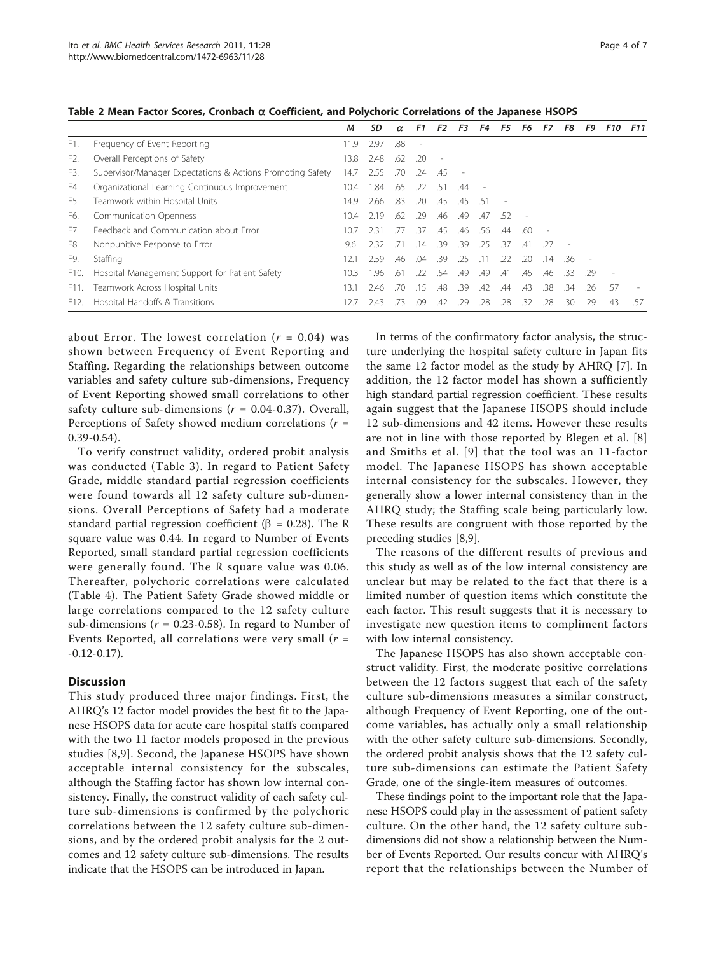|                   |                                                            | М    | SD    | $\alpha$ | F1                       | F <sub>2</sub>           | F3  | F4  | F5  | F6  | F7                       | F8  | F9  | <b>F10</b>               | <b>F11</b> |
|-------------------|------------------------------------------------------------|------|-------|----------|--------------------------|--------------------------|-----|-----|-----|-----|--------------------------|-----|-----|--------------------------|------------|
| F1.               | Frequency of Event Reporting                               | 11.9 | 2.97  | .88      | $\overline{\phantom{a}}$ |                          |     |     |     |     |                          |     |     |                          |            |
| F2.               | Overall Perceptions of Safety                              | 13.8 | 2.48  | .62      | .20                      | $\overline{\phantom{a}}$ |     |     |     |     |                          |     |     |                          |            |
| F3.               | Supervisor/Manager Expectations & Actions Promoting Safety | 14.7 | 2.55  | .70      | .24                      | .45                      |     |     |     |     |                          |     |     |                          |            |
| F4.               | Organizational Learning Continuous Improvement             | 10.4 | 1.84  | .65      | .22                      | .51                      | .44 |     |     |     |                          |     |     |                          |            |
| F5.               | Teamwork within Hospital Units                             | 14.9 | 2.66  | .83      | .20                      | .45                      | .45 | -51 |     |     |                          |     |     |                          |            |
| F6.               | <b>Communication Openness</b>                              | 10.4 | 2.19  | .62      | .29                      | .46                      | .49 | .47 | -52 |     |                          |     |     |                          |            |
| F7.               | Feedback and Communication about Frror                     | 10.7 | 2.31  | -77      | .37                      | .45                      | .46 | .56 | .44 | .60 | $\overline{\phantom{a}}$ |     |     |                          |            |
| F8.               | Nonpunitive Response to Error                              | 9.6  | 232   | - 71     | .14                      | .39                      | .39 | -25 | .37 | .41 | - 27                     |     |     |                          |            |
| F9.               | Staffing                                                   | 12.1 | 2.59  | .46      | .04                      | .39                      | .25 | .11 | .22 | .20 | .14                      | .36 |     |                          |            |
| F <sub>10</sub> . | Hospital Management Support for Patient Safety             | 10.3 | 1.96. | .61      | .22                      | .54                      | .49 | .49 | .41 | .45 | .46                      | -33 | 29  | $\overline{\phantom{a}}$ |            |
| F11.              | Teamwork Across Hospital Units                             | 13.1 | 2.46  | .70      | .15                      | .48                      | .39 | .42 | .44 | .43 | .38                      | .34 | .26 | .57                      |            |
| F12.              | Hospital Handoffs & Transitions                            |      | 2.43  | 73       | 09                       | .42                      | 29  | .28 | .28 | .32 | 28                       | 30  | 29  | .43                      | 57         |

<span id="page-3-0"></span>Table 2 Mean Factor Scores, Cronbach  $\alpha$  Coefficient, and Polychoric Correlations of the Japanese HSOPS

about Error. The lowest correlation  $(r = 0.04)$  was shown between Frequency of Event Reporting and Staffing. Regarding the relationships between outcome variables and safety culture sub-dimensions, Frequency of Event Reporting showed small correlations to other safety culture sub-dimensions  $(r = 0.04-0.37)$ . Overall, Perceptions of Safety showed medium correlations ( $r =$ 0.39-0.54).

To verify construct validity, ordered probit analysis was conducted (Table [3\)](#page-4-0). In regard to Patient Safety Grade, middle standard partial regression coefficients were found towards all 12 safety culture sub-dimensions. Overall Perceptions of Safety had a moderate standard partial regression coefficient ( $\beta = 0.28$ ). The R square value was 0.44. In regard to Number of Events Reported, small standard partial regression coefficients were generally found. The R square value was 0.06. Thereafter, polychoric correlations were calculated (Table [4\)](#page-5-0). The Patient Safety Grade showed middle or large correlations compared to the 12 safety culture sub-dimensions ( $r = 0.23$ -0.58). In regard to Number of Events Reported, all correlations were very small  $(r =$ -0.12-0.17).

# **Discussion**

This study produced three major findings. First, the AHRQ's 12 factor model provides the best fit to the Japanese HSOPS data for acute care hospital staffs compared with the two 11 factor models proposed in the previous studies [[8,9](#page-6-0)]. Second, the Japanese HSOPS have shown acceptable internal consistency for the subscales, although the Staffing factor has shown low internal consistency. Finally, the construct validity of each safety culture sub-dimensions is confirmed by the polychoric correlations between the 12 safety culture sub-dimensions, and by the ordered probit analysis for the 2 outcomes and 12 safety culture sub-dimensions. The results indicate that the HSOPS can be introduced in Japan.

In terms of the confirmatory factor analysis, the structure underlying the hospital safety culture in Japan fits the same 12 factor model as the study by AHRQ [\[7](#page-6-0)]. In addition, the 12 factor model has shown a sufficiently high standard partial regression coefficient. These results again suggest that the Japanese HSOPS should include 12 sub-dimensions and 42 items. However these results are not in line with those reported by Blegen et al. [\[8](#page-6-0)] and Smiths et al. [[9\]](#page-6-0) that the tool was an 11-factor model. The Japanese HSOPS has shown acceptable internal consistency for the subscales. However, they generally show a lower internal consistency than in the AHRQ study; the Staffing scale being particularly low. These results are congruent with those reported by the preceding studies [\[8,9](#page-6-0)].

The reasons of the different results of previous and this study as well as of the low internal consistency are unclear but may be related to the fact that there is a limited number of question items which constitute the each factor. This result suggests that it is necessary to investigate new question items to compliment factors with low internal consistency.

The Japanese HSOPS has also shown acceptable construct validity. First, the moderate positive correlations between the 12 factors suggest that each of the safety culture sub-dimensions measures a similar construct, although Frequency of Event Reporting, one of the outcome variables, has actually only a small relationship with the other safety culture sub-dimensions. Secondly, the ordered probit analysis shows that the 12 safety culture sub-dimensions can estimate the Patient Safety Grade, one of the single-item measures of outcomes.

These findings point to the important role that the Japanese HSOPS could play in the assessment of patient safety culture. On the other hand, the 12 safety culture subdimensions did not show a relationship between the Number of Events Reported. Our results concur with AHRQ's report that the relationships between the Number of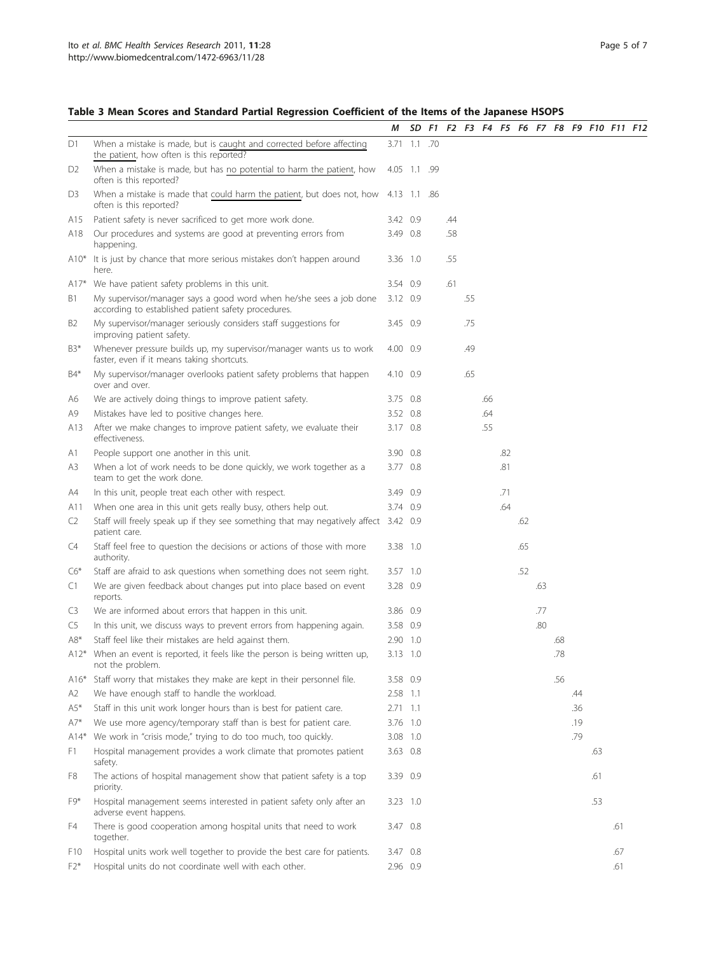# <span id="page-4-0"></span>Table 3 Mean Scores and Standard Partial Regression Coefficient of the Items of the Japanese HSOPS

|                |                                                                                                                           | М            |  |     |     |     |     |     |     |     |     | SD F1 F2 F3 F4 F5 F6 F7 F8 F9 F10 F11 F12 |     |  |
|----------------|---------------------------------------------------------------------------------------------------------------------------|--------------|--|-----|-----|-----|-----|-----|-----|-----|-----|-------------------------------------------|-----|--|
| D1             | When a mistake is made, but is caught and corrected before affecting<br>the patient, how often is this reported?          | 3.71 1.1 .70 |  |     |     |     |     |     |     |     |     |                                           |     |  |
| D <sub>2</sub> | When a mistake is made, but has no potential to harm the patient, how<br>often is this reported?                          | 4.05 1.1 .99 |  |     |     |     |     |     |     |     |     |                                           |     |  |
| D3             | When a mistake is made that could harm the patient, but does not, how 4.13 1.1 .86<br>often is this reported?             |              |  |     |     |     |     |     |     |     |     |                                           |     |  |
| A15            | Patient safety is never sacrificed to get more work done.                                                                 | 3.42 0.9     |  | .44 |     |     |     |     |     |     |     |                                           |     |  |
| A18            | Our procedures and systems are good at preventing errors from<br>happening.                                               | 3.49 0.8     |  | .58 |     |     |     |     |     |     |     |                                           |     |  |
| $A10*$         | It is just by chance that more serious mistakes don't happen around<br>here.                                              | 3.36 1.0     |  | .55 |     |     |     |     |     |     |     |                                           |     |  |
| A17*           | We have patient safety problems in this unit.                                                                             | 3.54 0.9     |  | .61 |     |     |     |     |     |     |     |                                           |     |  |
| B1             | My supervisor/manager says a good word when he/she sees a job done<br>according to established patient safety procedures. | 3.12 0.9     |  |     | .55 |     |     |     |     |     |     |                                           |     |  |
| B <sub>2</sub> | My supervisor/manager seriously considers staff suggestions for<br>improving patient safety.                              | 3.45 0.9     |  |     | .75 |     |     |     |     |     |     |                                           |     |  |
| $B3*$          | Whenever pressure builds up, my supervisor/manager wants us to work<br>faster, even if it means taking shortcuts.         | 4.00 0.9     |  |     | .49 |     |     |     |     |     |     |                                           |     |  |
| B4*            | My supervisor/manager overlooks patient safety problems that happen<br>over and over.                                     | 4.10 0.9     |  |     | .65 |     |     |     |     |     |     |                                           |     |  |
| A6             | We are actively doing things to improve patient safety.                                                                   | 3.75 0.8     |  |     |     | .66 |     |     |     |     |     |                                           |     |  |
| A9             | Mistakes have led to positive changes here.                                                                               | 3.52 0.8     |  |     |     | .64 |     |     |     |     |     |                                           |     |  |
| A13            | After we make changes to improve patient safety, we evaluate their<br>effectiveness.                                      | 3.17 0.8     |  |     |     | .55 |     |     |     |     |     |                                           |     |  |
| A1             | People support one another in this unit.                                                                                  | 3.90 0.8     |  |     |     |     | .82 |     |     |     |     |                                           |     |  |
| A3             | When a lot of work needs to be done quickly, we work together as a<br>team to get the work done.                          | 3.77 0.8     |  |     |     |     | .81 |     |     |     |     |                                           |     |  |
| A4             | In this unit, people treat each other with respect.                                                                       | 3.49 0.9     |  |     |     |     | .71 |     |     |     |     |                                           |     |  |
| A11            | When one area in this unit gets really busy, others help out.                                                             | 3.74 0.9     |  |     |     |     | .64 |     |     |     |     |                                           |     |  |
| C <sub>2</sub> | Staff will freely speak up if they see something that may negatively affect 3.42 0.9<br>patient care.                     |              |  |     |     |     |     | .62 |     |     |     |                                           |     |  |
| C4             | Staff feel free to question the decisions or actions of those with more<br>authority.                                     | 3.38 1.0     |  |     |     |     |     | .65 |     |     |     |                                           |     |  |
| $C6*$          | Staff are afraid to ask questions when something does not seem right.                                                     | 3.57 1.0     |  |     |     |     |     | .52 |     |     |     |                                           |     |  |
| C1             | We are given feedback about changes put into place based on event<br>reports.                                             | 3.28 0.9     |  |     |     |     |     |     | .63 |     |     |                                           |     |  |
| C3             | We are informed about errors that happen in this unit.                                                                    | 3.86 0.9     |  |     |     |     |     |     | .77 |     |     |                                           |     |  |
| C5             | In this unit, we discuss ways to prevent errors from happening again.                                                     | 3.58 0.9     |  |     |     |     |     |     | .80 |     |     |                                           |     |  |
| $A8*$          | Staff feel like their mistakes are held against them.                                                                     | 2.90 1.0     |  |     |     |     |     |     |     | .68 |     |                                           |     |  |
| $A12*$         | When an event is reported, it feels like the person is being written up,<br>not the problem.                              | 3.13 1.0     |  |     |     |     |     |     |     | .78 |     |                                           |     |  |
| $A16*$         | Staff worry that mistakes they make are kept in their personnel file.                                                     | 3.58 0.9     |  |     |     |     |     |     |     | .56 |     |                                           |     |  |
| A2             | We have enough staff to handle the workload.                                                                              | 2.58 1.1     |  |     |     |     |     |     |     |     | .44 |                                           |     |  |
| $A5*$          | Staff in this unit work longer hours than is best for patient care.                                                       | $2.71$ 1.1   |  |     |     |     |     |     |     |     | .36 |                                           |     |  |
| $A7^*$         | We use more agency/temporary staff than is best for patient care.                                                         | 3.76 1.0     |  |     |     |     |     |     |     |     | .19 |                                           |     |  |
| $A14*$         | We work in "crisis mode," trying to do too much, too quickly.                                                             | 3.08 1.0     |  |     |     |     |     |     |     |     | .79 |                                           |     |  |
| F1             | Hospital management provides a work climate that promotes patient<br>safety.                                              | 3.63 0.8     |  |     |     |     |     |     |     |     |     | .63                                       |     |  |
| F8             | The actions of hospital management show that patient safety is a top<br>priority.                                         | 3.39 0.9     |  |     |     |     |     |     |     |     |     | .61                                       |     |  |
| F9*            | Hospital management seems interested in patient safety only after an<br>adverse event happens.                            | 3.23 1.0     |  |     |     |     |     |     |     |     |     | .53                                       |     |  |
| F4             | There is good cooperation among hospital units that need to work<br>together.                                             | 3.47 0.8     |  |     |     |     |     |     |     |     |     |                                           | .61 |  |
| F10            | Hospital units work well together to provide the best care for patients.                                                  | 3.47 0.8     |  |     |     |     |     |     |     |     |     |                                           | .67 |  |
| $F2*$          | Hospital units do not coordinate well with each other.                                                                    | 2.96 0.9     |  |     |     |     |     |     |     |     |     |                                           | .61 |  |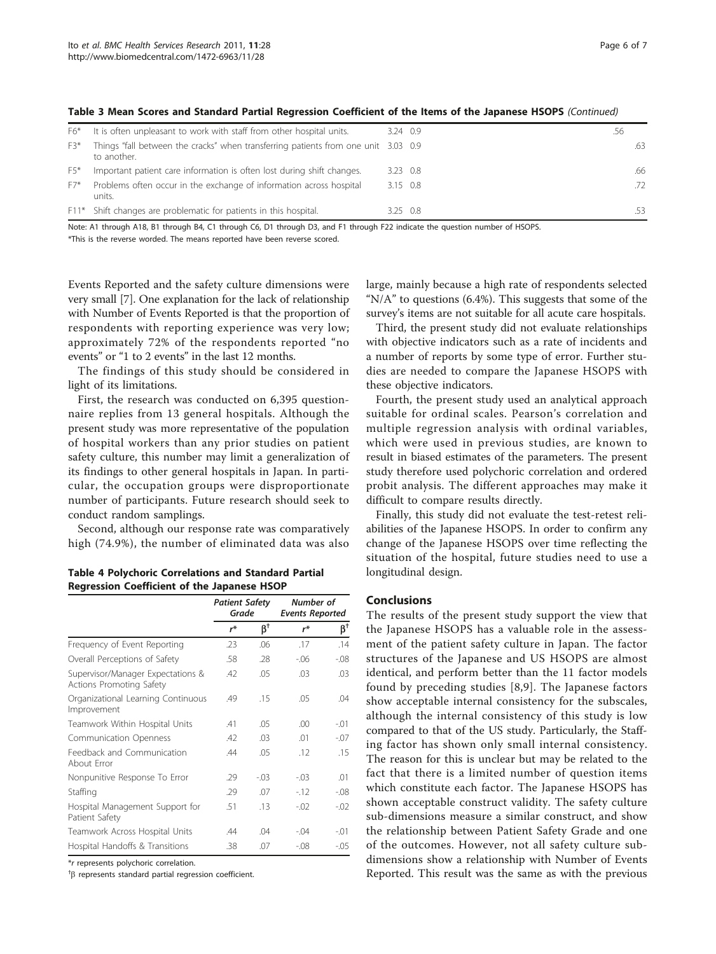| F6*   | It is often unpleasant to work with staff from other hospital units.                              | 3.24 0.9         | .56 |     |
|-------|---------------------------------------------------------------------------------------------------|------------------|-----|-----|
| F3*   | Things "fall between the cracks" when transferring patients from one unit 3.03 0.9<br>to another. |                  |     | .63 |
| $F5*$ | Important patient care information is often lost during shift changes.                            | 3.23 0.8         |     | .66 |
| $F7*$ | Problems often occur in the exchange of information across hospital<br>units.                     | $3.15$ 0.8       |     | .72 |
|       | F11* Shift changes are problematic for patients in this hospital.                                 | $3.25 \quad 0.8$ |     | .53 |

<span id="page-5-0"></span>Table 3 Mean Scores and Standard Partial Regression Coefficient of the Items of the Japanese HSOPS (Continued)

Note: A1 through A18, B1 through B4, C1 through C6, D1 through D3, and F1 through F22 indicate the question number of HSOPS.

\*This is the reverse worded. The means reported have been reverse scored.

Events Reported and the safety culture dimensions were very small [[7\]](#page-6-0). One explanation for the lack of relationship with Number of Events Reported is that the proportion of respondents with reporting experience was very low; approximately 72% of the respondents reported "no events" or "1 to 2 events" in the last 12 months.

The findings of this study should be considered in light of its limitations.

First, the research was conducted on 6,395 questionnaire replies from 13 general hospitals. Although the present study was more representative of the population of hospital workers than any prior studies on patient safety culture, this number may limit a generalization of its findings to other general hospitals in Japan. In particular, the occupation groups were disproportionate number of participants. Future research should seek to conduct random samplings.

Second, although our response rate was comparatively high (74.9%), the number of eliminated data was also

Table 4 Polychoric Correlations and Standard Partial Regression Coefficient of the Japanese HSOP

|                                                               | <b>Patient Safety</b><br>Grade |           | Number of<br><b>Events Reported</b> |                   |
|---------------------------------------------------------------|--------------------------------|-----------|-------------------------------------|-------------------|
|                                                               | $r^*$                          | $\beta^+$ | r*                                  | $\beta^{\dagger}$ |
| Frequency of Event Reporting                                  | .23                            | .06       | .17                                 | .14               |
| Overall Perceptions of Safety                                 | .58                            | .28       | $-06$                               | $-0.08$           |
| Supervisor/Manager Expectations &<br>Actions Promoting Safety | .42                            | .05       | .03                                 | .03               |
| Organizational Learning Continuous<br>Improvement             | .49                            | .15       | .05                                 | .04               |
| Teamwork Within Hospital Units                                | .41                            | .05       | .00                                 | $-.01$            |
| <b>Communication Openness</b>                                 | .42                            | .03       | .01                                 | $-.07$            |
| Feedback and Communication<br>About Frror                     | .44                            | .05       | .12                                 | .15               |
| Nonpunitive Response To Error                                 | .29                            | $-.03$    | $-.03$                              | .01               |
| Staffing                                                      | .29                            | .07       | $-12$                               | $-0.08$           |
| Hospital Management Support for<br>Patient Safety             | .51                            | .13       | $-0.02$                             | $-0.02$           |
| Teamwork Across Hospital Units                                | .44                            | .04       | $-.04$                              | -.01              |
| Hospital Handoffs & Transitions                               | .38                            | .07       | $-0.08$                             | $-.05$            |

\*r represents polychoric correlation.

 $~^{†}$  $\beta$  represents standard partial regression coefficient.

large, mainly because a high rate of respondents selected " $N/A$ " to questions (6.4%). This suggests that some of the survey's items are not suitable for all acute care hospitals.

Third, the present study did not evaluate relationships with objective indicators such as a rate of incidents and a number of reports by some type of error. Further studies are needed to compare the Japanese HSOPS with these objective indicators.

Fourth, the present study used an analytical approach suitable for ordinal scales. Pearson's correlation and multiple regression analysis with ordinal variables, which were used in previous studies, are known to result in biased estimates of the parameters. The present study therefore used polychoric correlation and ordered probit analysis. The different approaches may make it difficult to compare results directly.

Finally, this study did not evaluate the test-retest reliabilities of the Japanese HSOPS. In order to confirm any change of the Japanese HSOPS over time reflecting the situation of the hospital, future studies need to use a longitudinal design.

## Conclusions

The results of the present study support the view that the Japanese HSOPS has a valuable role in the assessment of the patient safety culture in Japan. The factor structures of the Japanese and US HSOPS are almost identical, and perform better than the 11 factor models found by preceding studies [[8,9\]](#page-6-0). The Japanese factors show acceptable internal consistency for the subscales, although the internal consistency of this study is low compared to that of the US study. Particularly, the Staffing factor has shown only small internal consistency. The reason for this is unclear but may be related to the fact that there is a limited number of question items which constitute each factor. The Japanese HSOPS has shown acceptable construct validity. The safety culture sub-dimensions measure a similar construct, and show the relationship between Patient Safety Grade and one of the outcomes. However, not all safety culture subdimensions show a relationship with Number of Events Reported. This result was the same as with the previous